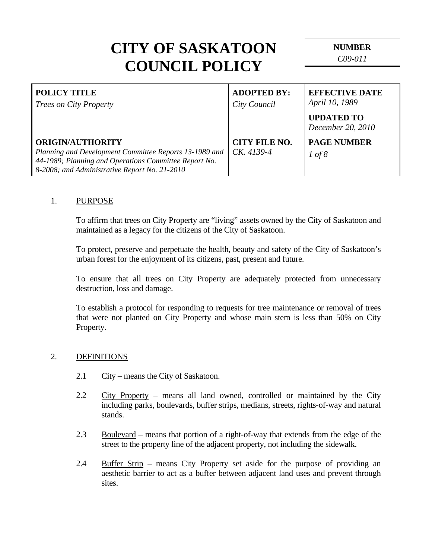| <b>POLICY TITLE</b><br><i>Trees on City Property</i>                                                                                                                                        | <b>ADOPTED BY:</b><br>City Council   | <b>EFFECTIVE DATE</b><br>April 10, 1989 |
|---------------------------------------------------------------------------------------------------------------------------------------------------------------------------------------------|--------------------------------------|-----------------------------------------|
|                                                                                                                                                                                             |                                      | <b>UPDATED TO</b><br>December 20, 2010  |
| <b>ORIGIN/AUTHORITY</b><br>Planning and Development Committee Reports 13-1989 and<br>44-1989; Planning and Operations Committee Report No.<br>8-2008; and Administrative Report No. 21-2010 | <b>CITY FILE NO.</b><br>$CK. 4139-4$ | <b>PAGE NUMBER</b><br>1 of 8            |

#### 1. PURPOSE

 To affirm that trees on City Property are "living" assets owned by the City of Saskatoon and maintained as a legacy for the citizens of the City of Saskatoon.

 To protect, preserve and perpetuate the health, beauty and safety of the City of Saskatoon's urban forest for the enjoyment of its citizens, past, present and future.

 To ensure that all trees on City Property are adequately protected from unnecessary destruction, loss and damage.

 To establish a protocol for responding to requests for tree maintenance or removal of trees that were not planted on City Property and whose main stem is less than 50% on City Property.

#### 2. DEFINITIONS

- 2.1 City means the City of Saskatoon.
- 2.2 City Property means all land owned, controlled or maintained by the City including parks, boulevards, buffer strips, medians, streets, rights-of-way and natural stands.
- 2.3 Boulevard means that portion of a right-of-way that extends from the edge of the street to the property line of the adjacent property, not including the sidewalk.
- 2.4 Buffer Strip means City Property set aside for the purpose of providing an aesthetic barrier to act as a buffer between adjacent land uses and prevent through sites.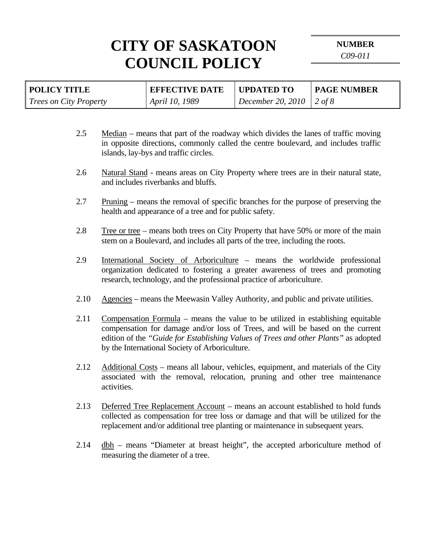**NUMBER** 

*C09-011* 

| <b>POLICY TITLE</b>           | <b>EFFECTIVE DATE</b> | <b>UPDATED TO</b>          | <b>PAGE NUMBER</b> |
|-------------------------------|-----------------------|----------------------------|--------------------|
| <i>Trees on City Property</i> | April 10, 1989        | December 20, 2010   2 of 8 |                    |
|                               |                       |                            |                    |

- 2.5 Median means that part of the roadway which divides the lanes of traffic moving in opposite directions, commonly called the centre boulevard, and includes traffic islands, lay-bys and traffic circles.
- 2.6 Natural Stand means areas on City Property where trees are in their natural state, and includes riverbanks and bluffs.
- 2.7 Pruning means the removal of specific branches for the purpose of preserving the health and appearance of a tree and for public safety.
- 2.8 Tree or tree means both trees on City Property that have 50% or more of the main stem on a Boulevard, and includes all parts of the tree, including the roots.
- 2.9 International Society of Arboriculture means the worldwide professional organization dedicated to fostering a greater awareness of trees and promoting research, technology, and the professional practice of arboriculture.
- 2.10 Agencies means the Meewasin Valley Authority, and public and private utilities.
- 2.11 Compensation Formula means the value to be utilized in establishing equitable compensation for damage and/or loss of Trees, and will be based on the current edition of the *"Guide for Establishing Values of Trees and other Plants"* as adopted by the International Society of Arboriculture.
- 2.12 Additional Costs means all labour, vehicles, equipment, and materials of the City associated with the removal, relocation, pruning and other tree maintenance activities.
- 2.13 Deferred Tree Replacement Account means an account established to hold funds collected as compensation for tree loss or damage and that will be utilized for the replacement and/or additional tree planting or maintenance in subsequent years.
- 2.14  $dbh$  means "Diameter at breast height", the accepted arboriculture method of measuring the diameter of a tree.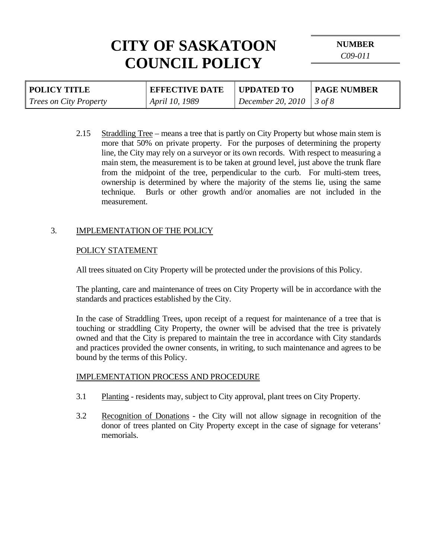**NUMBER** 

*C09-011* 

| <b>POLICY TITLE</b>           | <b>EFFECTIVE DATE</b> | <b>UPDATED TO</b>          | <b>PAGE NUMBER</b> |
|-------------------------------|-----------------------|----------------------------|--------------------|
| <i>Trees on City Property</i> | April 10, 1989        | December 20, 2010   3 of 8 |                    |

2.15 Straddling Tree – means a tree that is partly on City Property but whose main stem is more that 50% on private property. For the purposes of determining the property line, the City may rely on a surveyor or its own records. With respect to measuring a main stem, the measurement is to be taken at ground level, just above the trunk flare from the midpoint of the tree, perpendicular to the curb. For multi-stem trees, ownership is determined by where the majority of the stems lie, using the same technique. Burls or other growth and/or anomalies are not included in the measurement.

## 3. IMPLEMENTATION OF THE POLICY

## POLICY STATEMENT

All trees situated on City Property will be protected under the provisions of this Policy.

 The planting, care and maintenance of trees on City Property will be in accordance with the standards and practices established by the City.

 In the case of Straddling Trees, upon receipt of a request for maintenance of a tree that is touching or straddling City Property, the owner will be advised that the tree is privately owned and that the City is prepared to maintain the tree in accordance with City standards and practices provided the owner consents, in writing, to such maintenance and agrees to be bound by the terms of this Policy.

#### IMPLEMENTATION PROCESS AND PROCEDURE

- 3.1 Planting residents may, subject to City approval, plant trees on City Property.
- 3.2 Recognition of Donations the City will not allow signage in recognition of the donor of trees planted on City Property except in the case of signage for veterans' memorials.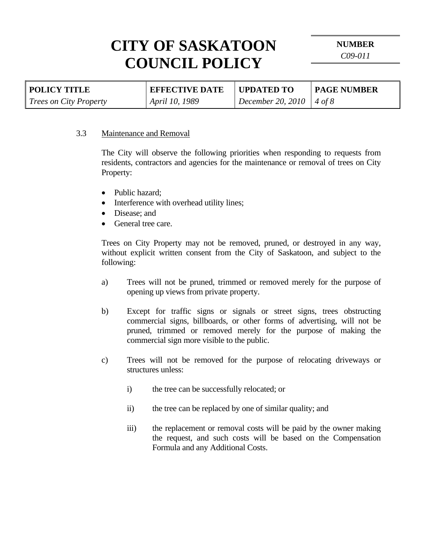**NUMBER** 

*C09-011* 

| <b>POLICY TITLE</b>           | <b>EFFECTIVE DATE</b> | <b>UPDATED TO</b>          | <b>PAGE NUMBER</b> |
|-------------------------------|-----------------------|----------------------------|--------------------|
| <i>Trees on City Property</i> | <i>April 10, 1989</i> | December 20, 2010   4 of 8 |                    |

#### 3.3 Maintenance and Removal

The City will observe the following priorities when responding to requests from residents, contractors and agencies for the maintenance or removal of trees on City Property:

- Public hazard:
- Interference with overhead utility lines;
- Disease; and
- General tree care.

Trees on City Property may not be removed, pruned, or destroyed in any way, without explicit written consent from the City of Saskatoon, and subject to the following:

- a) Trees will not be pruned, trimmed or removed merely for the purpose of opening up views from private property.
- b) Except for traffic signs or signals or street signs, trees obstructing commercial signs, billboards, or other forms of advertising, will not be pruned, trimmed or removed merely for the purpose of making the commercial sign more visible to the public.
- c) Trees will not be removed for the purpose of relocating driveways or structures unless:
	- i) the tree can be successfully relocated; or
	- ii) the tree can be replaced by one of similar quality; and
	- iii) the replacement or removal costs will be paid by the owner making the request, and such costs will be based on the Compensation Formula and any Additional Costs.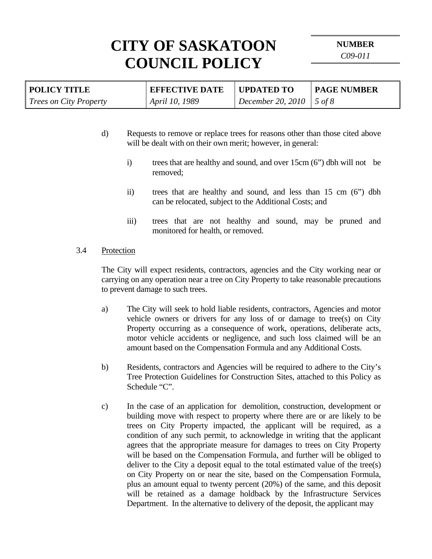**NUMBER** 

*C09-011* 

| <b>POLICY TITLE</b>           | <b>EFFECTIVE DATE</b> | <b>UPDATED TO</b> | <b>PAGE NUMBER</b> |
|-------------------------------|-----------------------|-------------------|--------------------|
| <b>Trees on City Property</b> | April 10, 1989        | December 20, 2010 | $\vert$ 5 of 8     |

- d) Requests to remove or replace trees for reasons other than those cited above will be dealt with on their own merit; however, in general:
	- i) trees that are healthy and sound, and over 15cm (6") dbh will not be removed;
	- ii) trees that are healthy and sound, and less than 15 cm (6") dbh can be relocated, subject to the Additional Costs; and
	- iii) trees that are not healthy and sound, may be pruned and monitored for health, or removed.
- 3.4 Protection

 The City will expect residents, contractors, agencies and the City working near or carrying on any operation near a tree on City Property to take reasonable precautions to prevent damage to such trees.

- a) The City will seek to hold liable residents, contractors, Agencies and motor vehicle owners or drivers for any loss of or damage to tree(s) on City Property occurring as a consequence of work, operations, deliberate acts, motor vehicle accidents or negligence, and such loss claimed will be an amount based on the Compensation Formula and any Additional Costs.
- b) Residents, contractors and Agencies will be required to adhere to the City's Tree Protection Guidelines for Construction Sites, attached to this Policy as Schedule "C".
- c) In the case of an application for demolition, construction, development or building move with respect to property where there are or are likely to be trees on City Property impacted, the applicant will be required, as a condition of any such permit, to acknowledge in writing that the applicant agrees that the appropriate measure for damages to trees on City Property will be based on the Compensation Formula, and further will be obliged to deliver to the City a deposit equal to the total estimated value of the tree(s) on City Property on or near the site, based on the Compensation Formula, plus an amount equal to twenty percent (20%) of the same, and this deposit will be retained as a damage holdback by the Infrastructure Services Department. In the alternative to delivery of the deposit, the applicant may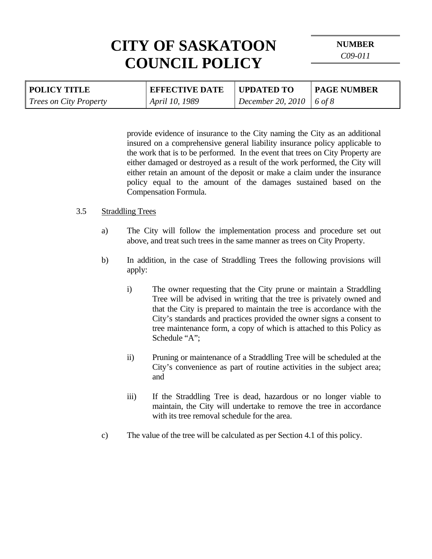**NUMBER** 

*C09-011* 

| <b>POLICY TITLE</b>           | <b>EFFECTIVE DATE</b> | UPDATED TO                      | <b>PAGE NUMBER</b> |
|-------------------------------|-----------------------|---------------------------------|--------------------|
| <i>Trees on City Property</i> | April 10, 1989        | <b>December 20, 2010</b> 6 of 8 |                    |

provide evidence of insurance to the City naming the City as an additional insured on a comprehensive general liability insurance policy applicable to the work that is to be performed. In the event that trees on City Property are either damaged or destroyed as a result of the work performed, the City will either retain an amount of the deposit or make a claim under the insurance policy equal to the amount of the damages sustained based on the Compensation Formula.

#### 3.5 Straddling Trees

- a) The City will follow the implementation process and procedure set out above, and treat such trees in the same manner as trees on City Property.
- b) In addition, in the case of Straddling Trees the following provisions will apply:
	- i) The owner requesting that the City prune or maintain a Straddling Tree will be advised in writing that the tree is privately owned and that the City is prepared to maintain the tree is accordance with the City's standards and practices provided the owner signs a consent to tree maintenance form, a copy of which is attached to this Policy as Schedule "A";
	- ii) Pruning or maintenance of a Straddling Tree will be scheduled at the City's convenience as part of routine activities in the subject area; and
	- iii) If the Straddling Tree is dead, hazardous or no longer viable to maintain, the City will undertake to remove the tree in accordance with its tree removal schedule for the area.
- c) The value of the tree will be calculated as per Section 4.1 of this policy.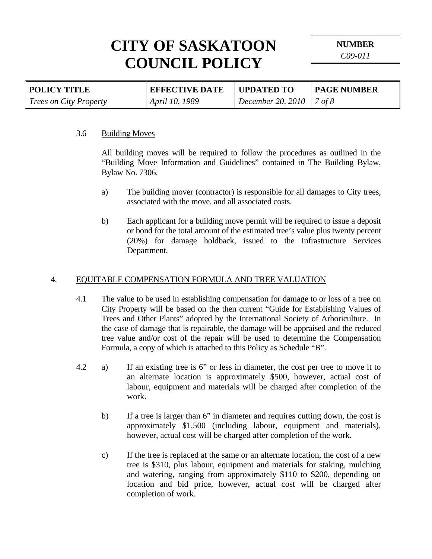**NUMBER** 

*C09-011* 

| <b>POLICY TITLE</b>           | <b>EFFECTIVE DATE</b> | UPDATED TO                 | <b>PAGE NUMBER</b> |
|-------------------------------|-----------------------|----------------------------|--------------------|
| <i>Trees on City Property</i> | April 10, 1989        | December 20, 2010   7 of 8 |                    |

#### 3.6 Building Moves

 All building moves will be required to follow the procedures as outlined in the "Building Move Information and Guidelines" contained in The Building Bylaw, Bylaw No. 7306.

- a) The building mover (contractor) is responsible for all damages to City trees, associated with the move, and all associated costs.
- b) Each applicant for a building move permit will be required to issue a deposit or bond for the total amount of the estimated tree's value plus twenty percent (20%) for damage holdback, issued to the Infrastructure Services Department.

### 4. EQUITABLE COMPENSATION FORMULA AND TREE VALUATION

- 4.1 The value to be used in establishing compensation for damage to or loss of a tree on City Property will be based on the then current "Guide for Establishing Values of Trees and Other Plants" adopted by the International Society of Arboriculture. In the case of damage that is repairable, the damage will be appraised and the reduced tree value and/or cost of the repair will be used to determine the Compensation Formula, a copy of which is attached to this Policy as Schedule "B".
- 4.2 a) If an existing tree is 6" or less in diameter, the cost per tree to move it to an alternate location is approximately \$500, however, actual cost of labour, equipment and materials will be charged after completion of the work.
	- b) If a tree is larger than 6" in diameter and requires cutting down, the cost is approximately \$1,500 (including labour, equipment and materials), however, actual cost will be charged after completion of the work.
	- c) If the tree is replaced at the same or an alternate location, the cost of a new tree is \$310, plus labour, equipment and materials for staking, mulching and watering, ranging from approximately \$110 to \$200, depending on location and bid price, however, actual cost will be charged after completion of work.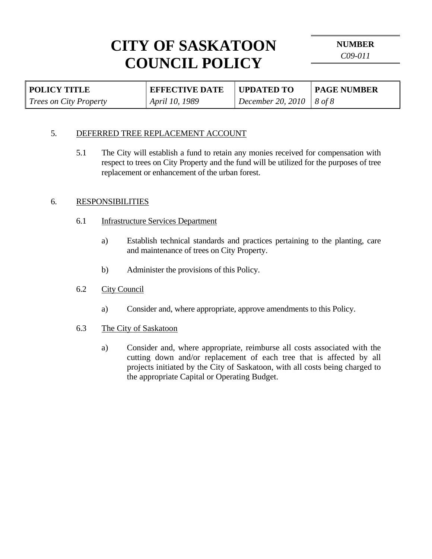**NUMBER** 

*C09-011* 

| <b>POLICY TITLE</b>           | <b>EFFECTIVE DATE</b> | UPDATED TO                        | <b>PAGE NUMBER</b> |
|-------------------------------|-----------------------|-----------------------------------|--------------------|
| <i>Trees on City Property</i> | April 10, 1989        | <b>December 20, 2010</b>   8 of 8 |                    |

## 5. DEFERRED TREE REPLACEMENT ACCOUNT

5.1 The City will establish a fund to retain any monies received for compensation with respect to trees on City Property and the fund will be utilized for the purposes of tree replacement or enhancement of the urban forest.

## 6. RESPONSIBILITIES

- 6.1 Infrastructure Services Department
	- a) Establish technical standards and practices pertaining to the planting, care and maintenance of trees on City Property.
	- b) Administer the provisions of this Policy.

## 6.2 City Council

- a) Consider and, where appropriate, approve amendments to this Policy.
- 6.3 The City of Saskatoon
	- a) Consider and, where appropriate, reimburse all costs associated with the cutting down and/or replacement of each tree that is affected by all projects initiated by the City of Saskatoon, with all costs being charged to the appropriate Capital or Operating Budget.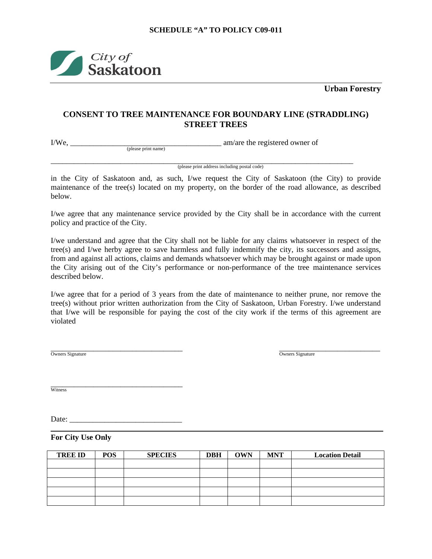

(please print name)

**Urban Forestry** 

### **CONSENT TO TREE MAINTENANCE FOR BOUNDARY LINE (STRADDLING) STREET TREES**

I/We, \_\_\_\_\_\_\_\_\_\_\_\_\_\_\_\_\_\_\_\_\_\_\_\_\_\_\_\_\_\_\_\_\_\_\_\_\_\_\_ am/are the registered owner of

\_\_\_\_\_\_\_\_\_\_\_\_\_\_\_\_\_\_\_\_\_\_\_\_\_\_\_\_\_\_\_\_\_\_\_\_\_\_\_\_\_\_\_\_\_\_\_\_\_\_\_\_\_\_\_\_\_\_\_\_\_\_\_\_\_\_\_\_\_\_\_\_\_\_\_\_\_\_ (please print address including postal code)

in the City of Saskatoon and, as such, I/we request the City of Saskatoon (the City) to provide maintenance of the tree(s) located on my property, on the border of the road allowance, as described below.

I/we agree that any maintenance service provided by the City shall be in accordance with the current policy and practice of the City.

I/we understand and agree that the City shall not be liable for any claims whatsoever in respect of the tree(s) and I/we herby agree to save harmless and fully indemnify the city, its successors and assigns, from and against all actions, claims and demands whatsoever which may be brought against or made upon the City arising out of the City's performance or non-performance of the tree maintenance services described below.

I/we agree that for a period of 3 years from the date of maintenance to neither prune, nor remove the tree(s) without prior written authorization from the City of Saskatoon, Urban Forestry. I/we understand that I/we will be responsible for paying the cost of the city work if the terms of this agreement are violated

 $\overline{\phantom{a}}$  , and the contract of the contract of the contract of the contract of the contract of the contract of the contract of the contract of the contract of the contract of the contract of the contract of the contrac Owners Signature **Owners Signature** Owners Signature

\_\_\_\_\_\_\_\_\_\_\_\_\_\_\_\_\_\_\_\_\_\_\_\_\_\_\_\_\_\_\_\_\_\_ **Witness** 

Date: \_\_\_\_\_\_\_\_\_\_\_\_\_\_\_\_\_\_\_\_\_\_\_\_\_\_\_\_\_

**For City Use Only**

| <b>TREE ID</b> | <b>POS</b> | <b>SPECIES</b> | <b>DBH</b> | <b>OWN</b> | <b>MNT</b> | <b>Location Detail</b> |
|----------------|------------|----------------|------------|------------|------------|------------------------|
|                |            |                |            |            |            |                        |
|                |            |                |            |            |            |                        |
|                |            |                |            |            |            |                        |
|                |            |                |            |            |            |                        |
|                |            |                |            |            |            |                        |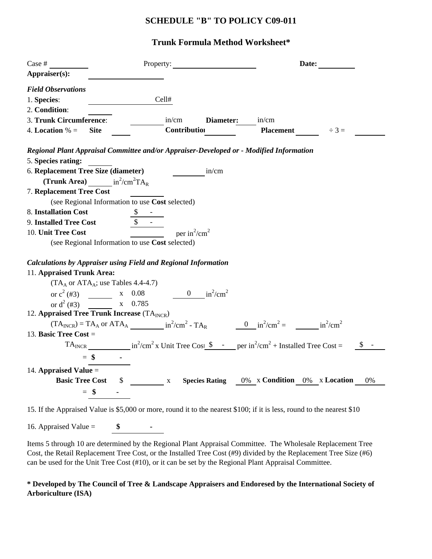### **SCHEDULE "B" TO POLICY C09-011**

## **Trunk Formula Method Worksheet\***

| Case #                                                                                                                                                                                                                                             | Property:                            |           |                                             | Date:      |       |
|----------------------------------------------------------------------------------------------------------------------------------------------------------------------------------------------------------------------------------------------------|--------------------------------------|-----------|---------------------------------------------|------------|-------|
| Appraiser(s):                                                                                                                                                                                                                                      |                                      |           |                                             |            |       |
| <b>Field Observations</b>                                                                                                                                                                                                                          |                                      |           |                                             |            |       |
| 1. Species:                                                                                                                                                                                                                                        | Cell#                                |           |                                             |            |       |
| 2. Condition:                                                                                                                                                                                                                                      |                                      |           |                                             |            |       |
| 3. Trunk Circumference:                                                                                                                                                                                                                            | in/cm                                | Diameter: | in/cm                                       |            |       |
| 4. Location $% =$<br><b>Site</b>                                                                                                                                                                                                                   | Contribution                         |           | <b>Placement</b>                            | $\div 3 =$ |       |
| Regional Plant Appraisal Committee and/or Appraiser-Developed or - Modified Information                                                                                                                                                            |                                      |           |                                             |            |       |
| 5. Species rating:                                                                                                                                                                                                                                 |                                      |           |                                             |            |       |
| 6. Replacement Tree Size (diameter)                                                                                                                                                                                                                |                                      | in/cm     |                                             |            |       |
| (Trunk Area) $in^2/cm^2TA_R$                                                                                                                                                                                                                       |                                      |           |                                             |            |       |
| 7. Replacement Tree Cost                                                                                                                                                                                                                           |                                      |           |                                             |            |       |
| (see Regional Information to use Cost selected)                                                                                                                                                                                                    |                                      |           |                                             |            |       |
| 8. Installation Cost                                                                                                                                                                                                                               |                                      |           |                                             |            |       |
| 9. Installed Tree Cost                                                                                                                                                                                                                             |                                      |           |                                             |            |       |
| 10. Unit Tree Cost                                                                                                                                                                                                                                 | per in <sup>2</sup> /cm <sup>2</sup> |           |                                             |            |       |
| (see Regional Information to use Cost selected)                                                                                                                                                                                                    |                                      |           |                                             |            |       |
|                                                                                                                                                                                                                                                    |                                      |           |                                             |            |       |
| <b>Calculations by Appraiser using Field and Regional Information</b>                                                                                                                                                                              |                                      |           |                                             |            |       |
| 11. Appraised Trunk Area:                                                                                                                                                                                                                          |                                      |           |                                             |            |       |
| $(TA_A \text{ or } ATA_A;$ use Tables 4.4-4.7)                                                                                                                                                                                                     |                                      |           |                                             |            |       |
| or $c^2$ (#3) $x = 0.08$ $0 \frac{\text{ln}^2}{\text{cm}^2}$                                                                                                                                                                                       |                                      |           |                                             |            |       |
| or $d^2$ (#3)<br>x 0.785                                                                                                                                                                                                                           |                                      |           |                                             |            |       |
| 12. Appraised Tree Trunk Increase $(TA_{INCR})$                                                                                                                                                                                                    |                                      |           |                                             |            |       |
| $(TA_{INCR}) = TA_A$ or $ATA_A$ $\qquad \qquad$ $in^2/cm^2 - TA_R$ $\qquad \qquad$ $\qquad 0 \qquad in^2/cm^2 =$ $\qquad \qquad$ $in^2/cm^2$                                                                                                       |                                      |           |                                             |            |       |
| 13. Basic Tree Cost $=$                                                                                                                                                                                                                            |                                      |           |                                             |            |       |
| TA <sub>INCR</sub> $in^2/cm^2$ x Unit Tree Cost $\sin^2$ - per $in^2/cm^2$ + Installed Tree Cost =                                                                                                                                                 |                                      |           |                                             |            |       |
| $=$ \$                                                                                                                                                                                                                                             |                                      |           |                                             |            |       |
| 14. Appraised Value $=$                                                                                                                                                                                                                            |                                      |           |                                             |            |       |
| <b>Basic Tree Cost</b>                                                                                                                                                                                                                             | $\mathbf{X}$                         |           | Species Rating 0% x Condition 0% x Location |            | $0\%$ |
| $=$ \$                                                                                                                                                                                                                                             |                                      |           |                                             |            |       |
|                                                                                                                                                                                                                                                    |                                      |           |                                             |            |       |
| $1.137.1$ $1.07$ $0.00$ $0.000$ $0.000$ $0.000$ $0.11$ $0.000$ $0.000$ $0.000$ $0.000$ $0.000$ $0.000$ $0.000$ $0.000$ $0.000$ $0.000$ $0.000$ $0.000$ $0.000$ $0.000$ $0.000$ $0.000$ $0.000$ $0.000$ $0.000$ $0.000$ $0.000$<br>$1.5$ TC $1.$ A. |                                      |           |                                             |            |       |

15. If the Appraised Value is \$5,000 or more, round it to the nearest \$100; if it is less, round to the nearest \$10

16. Appraised Value = **\$ -**

Items 5 through 10 are determined by the Regional Plant Appraisal Committee. The Wholesale Replacement Tree Cost, the Retail Replacement Tree Cost, or the Installed Tree Cost (#9) divided by the Replacement Tree Size (#6) can be used for the Unit Tree Cost (#10), or it can be set by the Regional Plant Appraisal Committee.

#### **\* Developed by The Council of Tree & Landscape Appraisers and Endoresed by the International Society of Arboriculture (ISA)**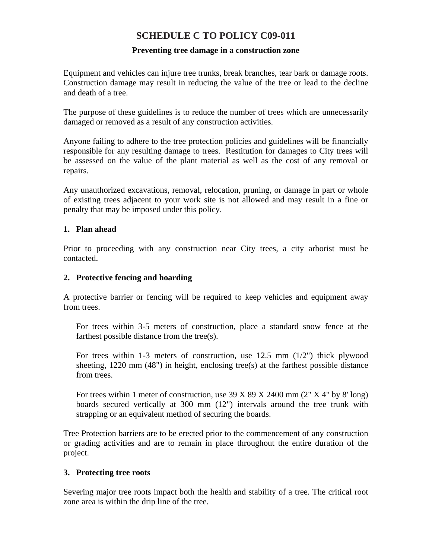## **SCHEDULE C TO POLICY C09-011**

### **Preventing tree damage in a construction zone**

Equipment and vehicles can injure tree trunks, break branches, tear bark or damage roots. Construction damage may result in reducing the value of the tree or lead to the decline and death of a tree.

The purpose of these guidelines is to reduce the number of trees which are unnecessarily damaged or removed as a result of any construction activities.

Anyone failing to adhere to the tree protection policies and guidelines will be financially responsible for any resulting damage to trees. Restitution for damages to City trees will be assessed on the value of the plant material as well as the cost of any removal or repairs.

Any unauthorized excavations, removal, relocation, pruning, or damage in part or whole of existing trees adjacent to your work site is not allowed and may result in a fine or penalty that may be imposed under this policy.

### **1. Plan ahead**

Prior to proceeding with any construction near City trees, a city arborist must be contacted.

### **2. Protective fencing and hoarding**

A protective barrier or fencing will be required to keep vehicles and equipment away from trees.

For trees within 3-5 meters of construction, place a standard snow fence at the farthest possible distance from the tree(s).

For trees within 1-3 meters of construction, use  $12.5$  mm  $(1/2)$  thick plywood sheeting, 1220 mm (48") in height, enclosing tree(s) at the farthest possible distance from trees.

For trees within 1 meter of construction, use 39 X 89 X 2400 mm (2" X 4" by 8' long) boards secured vertically at 300 mm (12") intervals around the tree trunk with strapping or an equivalent method of securing the boards.

Tree Protection barriers are to be erected prior to the commencement of any construction or grading activities and are to remain in place throughout the entire duration of the project.

#### **3. Protecting tree roots**

Severing major tree roots impact both the health and stability of a tree. The critical root zone area is within the drip line of the tree.